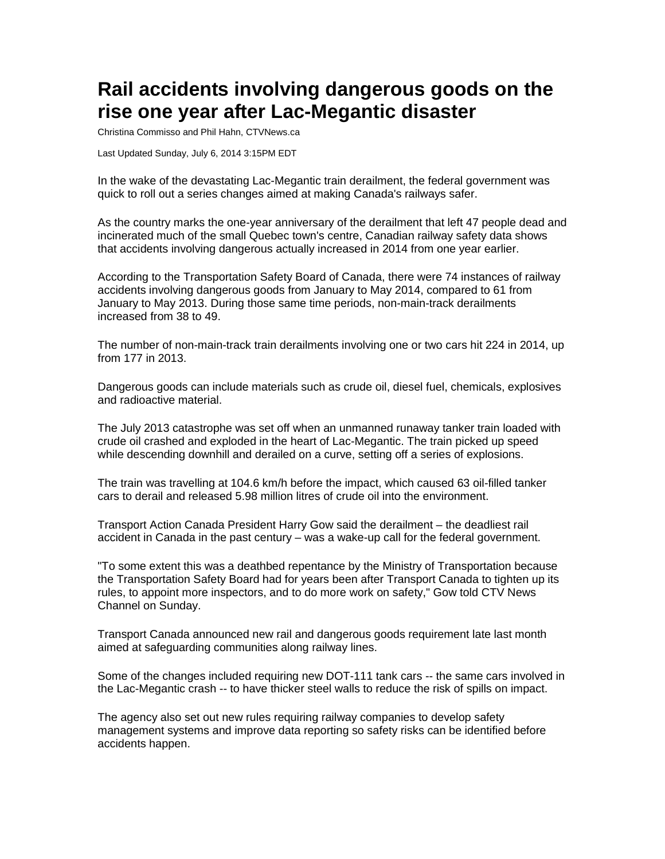## **Rail accidents involving dangerous goods on the rise one year after Lac-Megantic disaster**

Christina Commisso and Phil Hahn, CTVNews.ca

Last Updated Sunday, July 6, 2014 3:15PM EDT

In the wake of the devastating Lac-Megantic train derailment, the federal government was quick to roll out a series changes aimed at making Canada's railways safer.

As the country marks the one-year anniversary of the derailment that left 47 people dead and incinerated much of the small Quebec town's centre, Canadian railway safety data shows that accidents involving dangerous actually increased in 2014 from one year earlier.

According to the Transportation Safety Board of Canada, there were 74 instances of railway accidents involving dangerous goods from January to May 2014, compared to 61 from January to May 2013. During those same time periods, non-main-track derailments increased from 38 to 49.

The number of non-main-track train derailments involving one or two cars hit 224 in 2014, up from 177 in 2013.

Dangerous goods can include materials such as crude oil, diesel fuel, chemicals, explosives and radioactive material.

The July 2013 catastrophe was set off when an unmanned runaway tanker train loaded with crude oil crashed and exploded in the heart of Lac-Megantic. The train picked up speed while descending downhill and derailed on a curve, setting off a series of explosions.

The train was travelling at 104.6 km/h before the impact, which caused 63 oil-filled tanker cars to derail and released 5.98 million litres of crude oil into the environment.

Transport Action Canada President Harry Gow said the derailment – the deadliest rail accident in Canada in the past century – was a wake-up call for the federal government.

"To some extent this was a deathbed repentance by the Ministry of Transportation because the Transportation Safety Board had for years been after Transport Canada to tighten up its rules, to appoint more inspectors, and to do more work on safety," Gow told CTV News Channel on Sunday.

Transport Canada announced new rail and dangerous goods requirement late last month aimed at safeguarding communities along railway lines.

Some of the changes included requiring new DOT-111 tank cars -- the same cars involved in the Lac-Megantic crash -- to have thicker steel walls to reduce the risk of spills on impact.

The agency also set out new rules requiring railway companies to develop safety management systems and improve data reporting so safety risks can be identified before accidents happen.